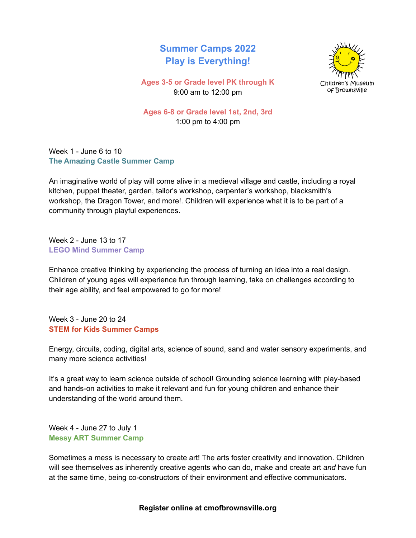## **Summer Camps 2022 Play is Everything!**



**Ages 3-5 or Grade level PK through K** 9:00 am to 12:00 pm

**Ages 6-8 or Grade level 1st, 2nd, 3rd** 1:00 pm to 4:00 pm

Week 1 - June 6 to 10 **The Amazing Castle Summer Camp**

An imaginative world of play will come alive in a medieval village and castle, including a royal kitchen, puppet theater, garden, tailor's workshop, carpenter's workshop, blacksmith's workshop, the Dragon Tower, and more!. Children will experience what it is to be part of a community through playful experiences.

Week 2 - June 13 to 17 **LEGO Mind Summer Camp**

Enhance creative thinking by experiencing the process of turning an idea into a real design. Children of young ages will experience fun through learning, take on challenges according to their age ability, and feel empowered to go for more!

Week 3 - June 20 to 24 **STEM for Kids Summer Camps**

Energy, circuits, coding, digital arts, science of sound, sand and water sensory experiments, and many more science activities!

It's a great way to learn science outside of school! Grounding science learning with play-based and hands-on activities to make it relevant and fun for young children and enhance their understanding of the world around them.

Week 4 - June 27 to July 1 **Messy ART Summer Camp**

Sometimes a mess is necessary to create art! The arts foster creativity and innovation. Children will see themselves as inherently creative agents who can do, make and create art *and* have fun at the same time, being co-constructors of their environment and effective communicators.